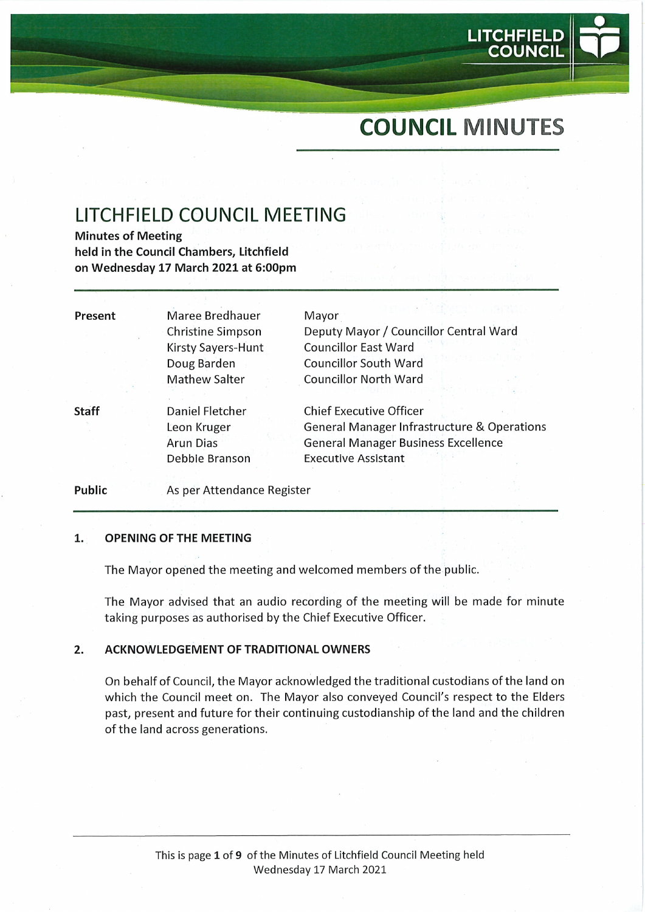# COUNCIL MINUTES

LITCHFIEL

**COUNCIL** 

# LITCHFIELD COUNCIL MEETING

Minutes of Meeting held in the Council Chambers, Litchfield on Wednesday 17 March 2021 at 6:00pm

| Present      | Maree Bredhauer          | Mayor                                                  |
|--------------|--------------------------|--------------------------------------------------------|
|              | <b>Christine Simpson</b> | Deputy Mayor / Councillor Central Ward                 |
|              | Kirsty Sayers-Hunt       | <b>Councillor East Ward</b>                            |
|              | Doug Barden              | <b>Councillor South Ward</b>                           |
|              | <b>Mathew Salter</b>     | <b>Councillor North Ward</b>                           |
|              |                          |                                                        |
| <b>Staff</b> | Daniel Fletcher          | <b>Chief Executive Officer</b>                         |
|              | Leon Kruger              | <b>General Manager Infrastructure &amp; Operations</b> |
|              | <b>Arun Dias</b>         | <b>General Manager Business Excellence</b>             |
|              | Debbie Branson           | <b>Executive Assistant</b>                             |
|              |                          |                                                        |

Public As per Attendance Register

#### $\mathbf{1}$ . OPENING OF THE MEETING

The Mayor opened the meeting and welcomed members of the public.

The Mayor advised that an audio recording of the meeting will be made for minute taking purposes as authorised by the Chief Executive Officer.

#### ACKNOWLEDGEMENT OF TRADITIONAL OWNERS  $2.$

On behalf of Council, the Mayor acknowledged the traditional custodians of the land on which the Council meet on. The Mayor also conveyed Council's respect to the Elders past, present and future for their continuing custodianship of the land and the children of the land across generations.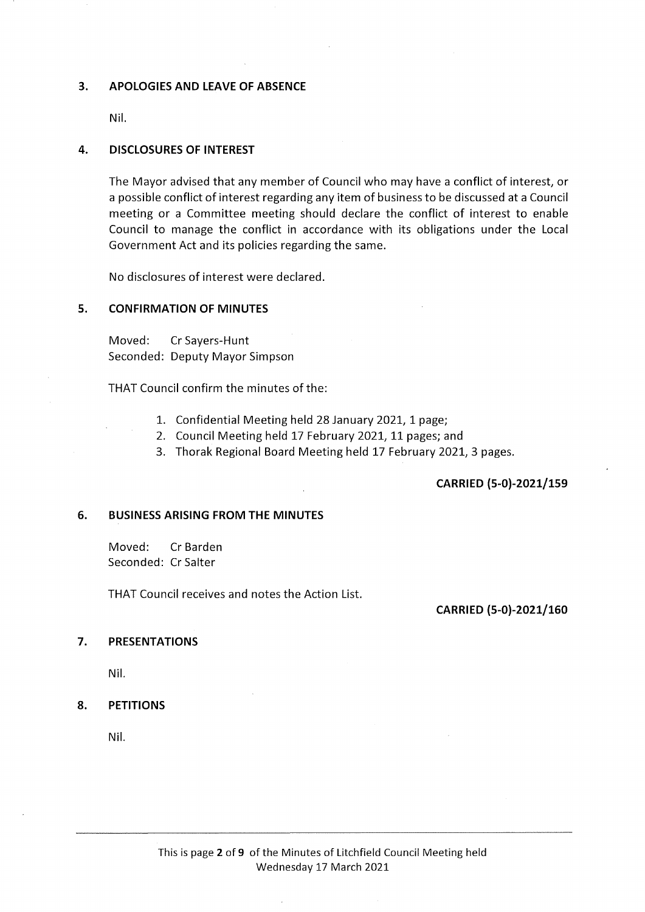### 3. APOLOGIES AND LEAVE OF ABSENCE

Nil.

#### 4. DISCLOSURES OF INTEREST

The Mayor advised that any member of Council who may have a conflict of interest, or a possible conflict of interest regarding any item of business to be discussed at a Council meeting or a Committee meeting should declare the conflict of interest to enable Council to manage the conflict in accordance with its obligations under the Local Government Act and its policies regarding the same.

No disclosures of interest were declared.

# 5. CONFIRMATION OF MINUTES

Moved: CrSayers-Hunt Seconded: Deputy Mayor Simpson

THAT Council confirm the minutes of the:

- 1. Confidential Meeting held 28 January 2021, 1 page;
- 2. Council Meeting held 17 February 2021,11 pages; and
- 3. Thorak Regional Board Meeting held 17 February 2021, 3 pages.

### CARRIED (5-0)-2021/159

#### 6. BUSINESS ARISING FROM THE MINUTES

Moved: Cr Barden Seconded: Cr Salter

THAT Council receives and notes the Action List.

CARRIED (5-0)-2021/160

#### 7. PRESENTATIONS

Nil.

### 8. PETITIONS

Nil.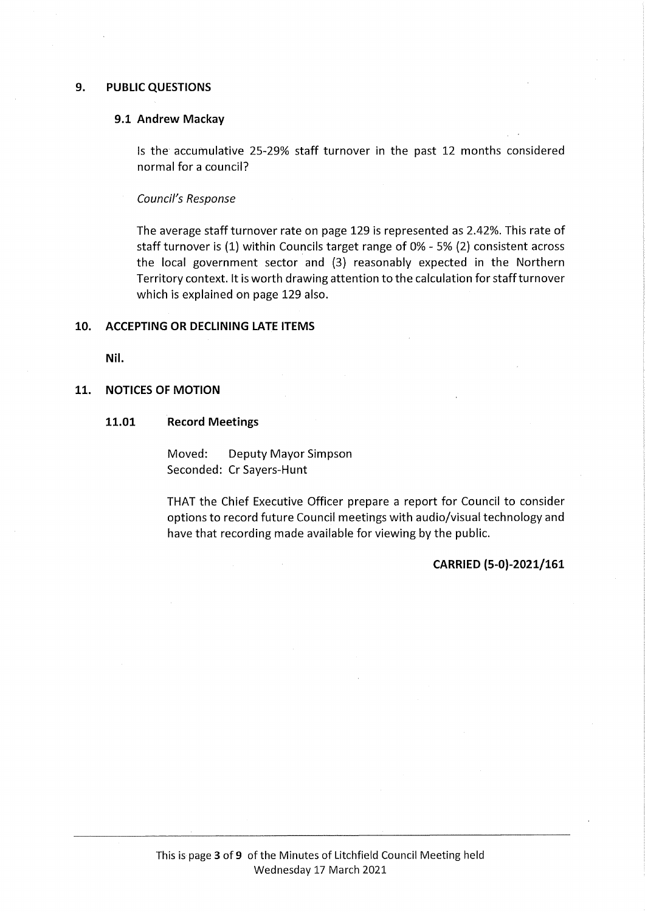#### 9. PUBLIC QUESTIONS

#### 9.1 Andrew Mackay

Is the accumulative 25-29% staff turnover in the past 12 months considered normal for a council?

Council's Response

The average staff turnover rate on page 129 is represented as 2.42%. This rate of staff turnover is (1) within Councils target range of 0% - 5% (2) consistent across the local government sector and (3) reasonably expected in the Northern Territory context. It is worth drawing attention to the calculation for staff turnover which is explained on page 129 also.

#### 10. ACCEPTING OR DECLINING LATE ITEMS

Nil.

#### 11. NOTICES OF MOTION

11.01 Record Meetings

Moved: Deputy Mayor Simpson Seconded: Cr Sayers-Hunt

THAT the Chief Executive Officer prepare a report for Council to consider options to record future Council meetings with audio/visual technology and have that recording made available for viewing by the public.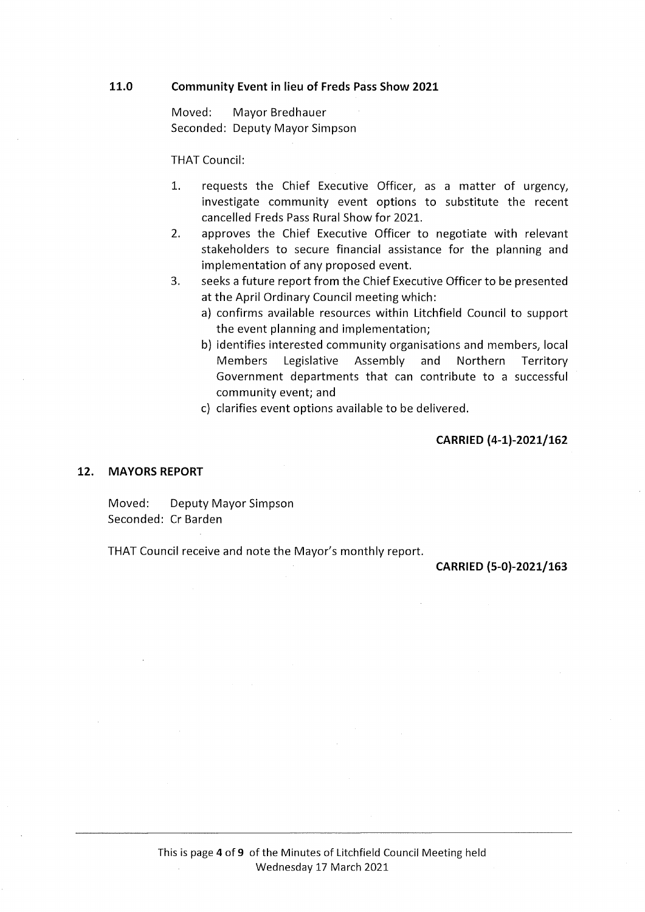#### 11.0 Community Event in lieu of Freds Pass Show 2021

Moved: Mayor Bredhauer Seconded: Deputy Mayor Simpson

THAT Council:

- 1. requests the Chief Executive Officer, as a matter of urgency, investigate community event options to substitute the recent cancelled Freds Pass Rural Show for 2021.
- 2. approves the Chief Executive Officer to negotiate with relevant stakeholders to secure financial assistance for the planning and implementation of any proposed event.
- 3. seeks a future report from the Chief Executive Officer to be presented at the April Ordinary Council meeting which:
	- a) confirms available resources within Litchfield Council to support the event planning and implementation;
	- b) identifies interested community organisations and members, local Members Legislative Assembly and Northern Territory Government departments that can contribute to a successful community event; and
	- c) clarifies event options available to be delivered.

### CARRIED (4-1)-2021/162

#### 12. MAYORS REPORT

Moved: Deputy Mayor Simpson Seconded: Cr Barden

THAT Council receive and note the Mayor's monthly report.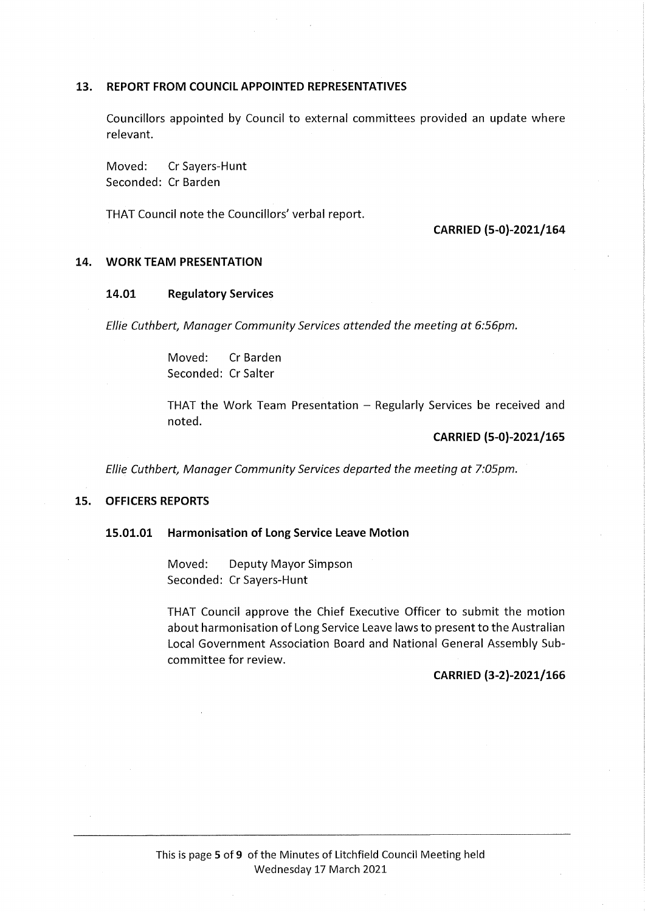### 13. REPORT FROM COUNCIL APPOINTED REPRESENTATIVES

Councillors appointed by Council to external committees provided an update where relevant.

Moved: CrSayers-Hunt Seconded: Cr Barden

THAT Council note the Councillors' verbal report.

### CARRIED (5-0)-2021/164

### 14. WORK TEAM PRESENTATION

#### 14.01 Regulatory Services

Ellie Cuthbert, Manager Community Services attended the meeting at 6:56pm.

Moved: Cr Barden Seconded: Cr Salter

THAT the Work Team Presentation  $-$  Regularly Services be received and noted.

# CARRIED (5-0)-202l/165

Ellie Cuthbert, Manager Community Services departed the meeting at 7:05pm.

# 15. OFFICERS REPORTS

#### 15.01.01 Harmonisation of Long Service Leave Motion

Moved: Deputy Mayor Simpson Seconded: Cr Sayers-Hunt

THAT Council approve the Chief Executive Officer to submit the motion about harmonisation of Long Service Leave laws to present to the Australian Local Government Association Board and National General Assembly Subcommittee for review.

#### CARRIED (3-2)-2021/166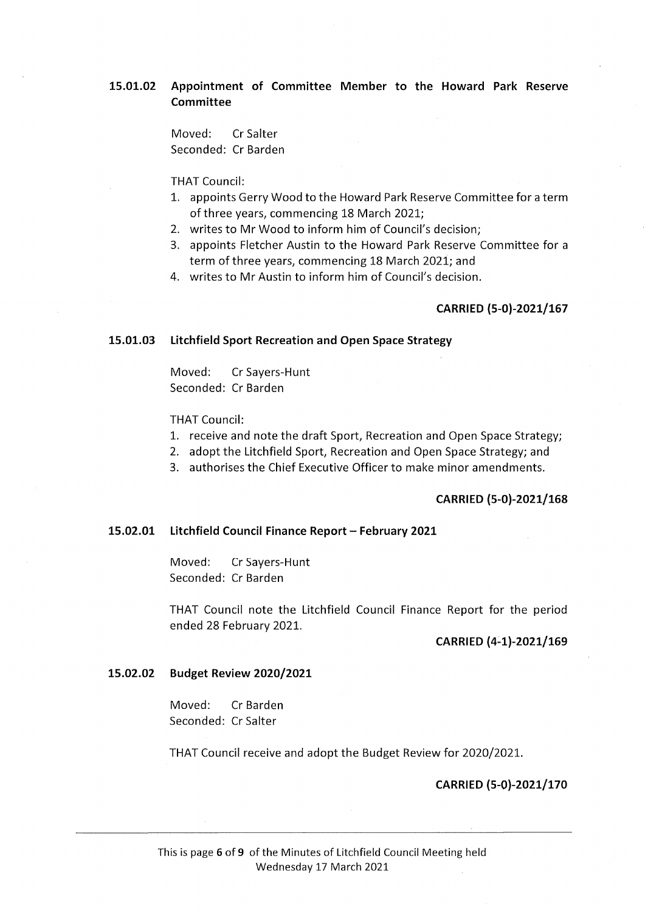# 15.01.02 Appointment of Committee Member to the Howard Park Reserve Committee

Moved: CrSalter Seconded: Cr Barden

THAT Council:

- 1. appoints Gerry Wood to the Howard Park Reserve Committee for a term of three years, commencing 18 March 2021;
- 2. writes to Mr Wood to inform him of Council's decision;
- 3. appoints Fletcher Austin to the Howard Park Reserve Committee for a term of three years, commencing 18 March 2021; and
- 4. writes to Mr Austin to inform him of Council's decision.

#### CARRIED (5-0)-2021/167

#### 15.01.03 Litchfield Sport Recreation and Open Space Strategy

Moved: CrSayers-Hunt Seconded: Cr Barden

THAT Council:

- 1. receive and note the draft Sport, Recreation and Open Space Strategy;
- 2. adopt the Litchfield Sport, Recreation and Open Space Strategy; and
- 3. authorises the Chief Executive Officer to make minor amendments.

#### CARRIED (5-0)-2021/168

#### 15.02.01 Litchfield Council Finance Report - February 2021

Moved: CrSayers-Hunt Seconded: Cr Barden

THAT Council note the Litchfield Council Finance Report for the period ended 28 February 2021.

#### CARRIED (4-1)-2021/169

#### 15.02.02 Budget Review 2020/2021

Moved: Cr Barden Seconded: CrSalter

THAT Council receive and adopt the Budget Review for 2020/2021.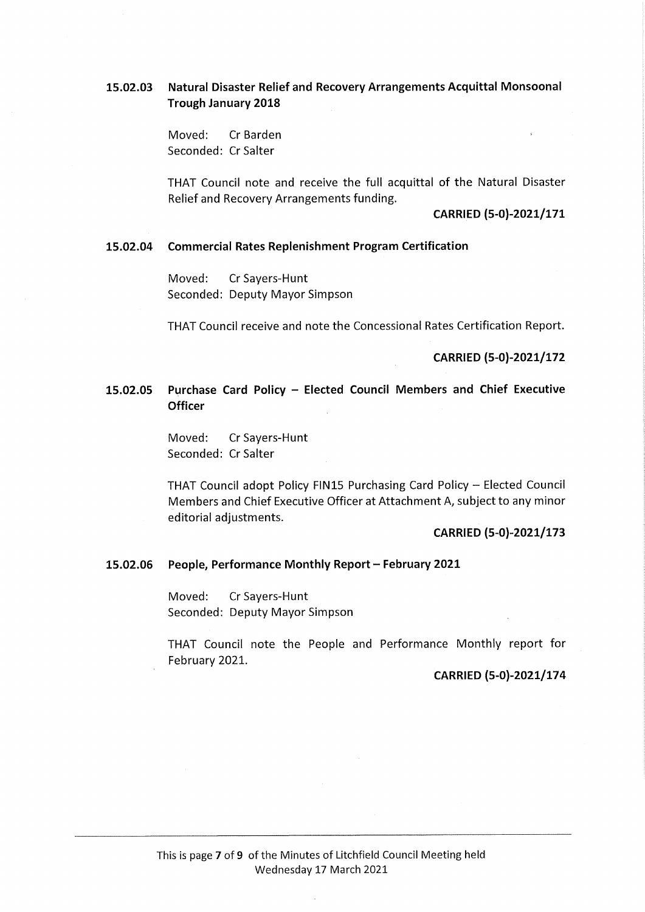# 15.02.03 Natural Disaster Relief and Recovery Arrangements Acquittal Monsoonal Trough January 2018

Moved: Cr Barden Seconded: CrSalter

THAT Council note and receive the full acquittal of the Natural Disaster Relief and Recovery Arrangements funding.

#### CARRIED (5-0)-2021/171

#### 15.02.04 Commercial Rates Replenishment Program Certification

Moved: Cr Sayers-Hunt Seconded: Deputy Mayor Simpson

THAT Council receive and note the Concessional Rates Certification Report.

CARRIED (5-0)-2021/172

# 15.02.05 Purchase Card Policy - Elected Council Members and Chief Executive **Officer**

Moved: Cr Sayers-Hunt Seconded: CrSalter

THAT Council adopt Policy FIN15 Purchasing Card Policy - Elected Council Members and Chief Executive Officer at Attachment A, subject to any minor editorial adiustments.

# CARRIED (5-0)-2021/173

#### 15.02.06 People, Performance Monthly Report - February 2021

Moved: Cr Sayers-Hunt Seconded: Deputy Mayor Simpson

THAT Council note the People and Performance Monthly report for February 2021.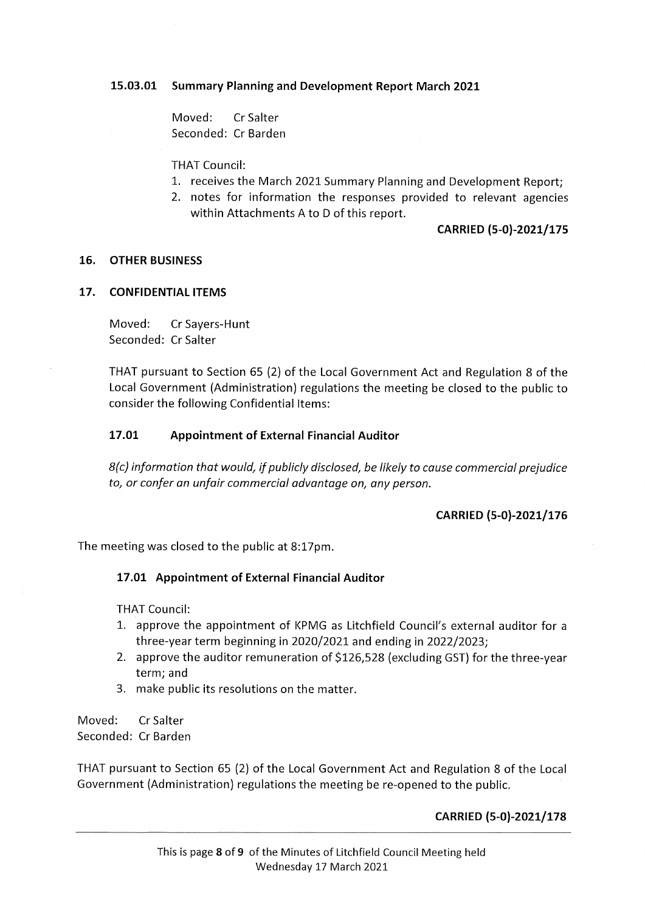# 15.03.01 Summary Planning and Development Report March 2021

Moved: CrSalter Seconded: Cr Barden

THAT Council:

- 1. receives the March 2021 Summary Planning and Development Report;
- 2. notes for information the responses provided to relevant agencies within Attachments A to D of this report.

### CARRIED (5-0)-2021/175

### 16. OTHER BUSINESS

# 17. CONFIDENTIAL ITEMS

Moved: CrSayers-Hunt Seconded: Cr Salter

THAT pursuant to Section 65 (2) of the Local Government Act and Regulation 8 of the Local Government (Administration) regulations the meeting be closed to the public to consider the following Confidential Items:

# 17.01 Appointment of External Financial Auditor

8(c) information that would, if publicly disclosed, be likely to cause commercial prejudice to, or confer an unfair commercial advantage on, any person.

# CARRIED (5-0)-2021/176

The meeting was closed to the public at 8:17pm.

### 17.01 Appointment of External Financial Auditor

THAT Council:

- 1. approve the appointment of KPMG as Litchfield Council's external auditor for a three-year term beginning in 2020/2021 and ending in 2022/2023;
- 2. approve the auditor remuneration of \$126,528 (excluding GST) for the three-year term;and
- 3. make public its resolutions on the matter.

Moved: CrSalter Seconded: Cr Barden

THAT pursuant to Section 65 (2) of the Local Government Act and Regulation 8 of the Local Government (Administration) regulations the meeting be re-opened to the public.